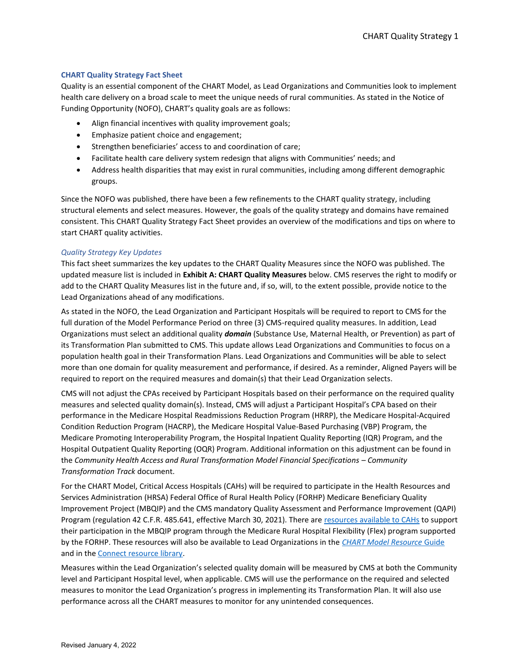## **CHART Quality Strategy Fact Sheet**

Quality is an essential component of the CHART Model, as Lead Organizations and Communities look to implement health care delivery on a broad scale to meet the unique needs of rural communities. As stated in the Notice of Funding Opportunity (NOFO), CHART's quality goals are as follows:

- Align financial incentives with quality improvement goals;
- Emphasize patient choice and engagement;
- Strengthen beneficiaries' access to and coordination of care;
- Facilitate health care delivery system redesign that aligns with Communities' needs; and
- Address health disparities that may exist in rural communities, including among different demographic groups.

Since the NOFO was published, there have been a few refinements to the CHART quality strategy, including structural elements and select measures. However, the goals of the quality strategy and domains have remained consistent. This CHART Quality Strategy Fact Sheet provides an overview of the modifications and tips on where to start CHART quality activities.

## *Quality Strategy Key Updates*

This fact sheet summarizes the key updates to the CHART Quality Measures since the NOFO was published. The updated measure list is included in **Exhibit A: CHART Quality Measures** below. CMS reserves the right to modify or add to the CHART Quality Measures list in the future and, if so, will, to the extent possible, provide notice to the Lead Organizations ahead of any modifications.

As stated in the NOFO, the Lead Organization and Participant Hospitals will be required to report to CMS for the full duration of the Model Performance Period on three (3) CMS-required quality measures. In addition, Lead Organizations must select an additional quality *domain* (Substance Use, Maternal Health, or Prevention) as part of its Transformation Plan submitted to CMS. This update allows Lead Organizations and Communities to focus on a population health goal in their Transformation Plans. Lead Organizations and Communities will be able to select more than one domain for quality measurement and performance, if desired. As a reminder, Aligned Payers will be required to report on the required measures and domain(s) that their Lead Organization selects.

CMS will not adjust the CPAs received by Participant Hospitals based on their performance on the required quality measures and selected quality domain(s). Instead, CMS will adjust a Participant Hospital's CPA based on their performance in the Medicare Hospital Readmissions Reduction Program (HRRP), the Medicare Hospital-Acquired Condition Reduction Program (HACRP), the Medicare Hospital Value-Based Purchasing (VBP) Program, the Medicare Promoting Interoperability Program, the Hospital Inpatient Quality Reporting (IQR) Program, and the Hospital Outpatient Quality Reporting (OQR) Program. Additional information on this adjustment can be found in the *Community Health Access and Rural Transformation Model Financial Specifications - Community Transformation Track* document.

For the CHART Model, Critical Access Hospitals (CAHs) will be required to participate in the Health Resources and Services Administration (HRSA) Federal Office of Rural Health Policy (FORHP) Medicare Beneficiary Quality Improvement Project (MBQIP) and the CMS mandatory Quality Assessment and Performance Improvement (QAPI) Program (regulation 42 C.F.R. 485.641, effective March 30, 2021). There are [resources available to CAHs](https://home.grantsolutions.gov/home/#:~:text=Medicare%20Beneficiary%20Quality%20Improvement%20Project%20%28MBQIP%29%20The%20Medicare,%28HRSA%29%20Federal%20Office%20of%20Rural%20Health%20Policy%20%28FORHP%29.) to support their participation in the MBQIP program through the Medicare Rural Hospital Flexibility (Flex) program supported by the FORHP. These resources will also be available to Lead Organizations in the *[CHART Model Resource](https://cmmi.my.salesforce.com/sfc/p/i0000000iryR/a/t0000002L8SC/ZknsDt3_x01kvNP2Fy_tpcrmqr9X7oUOfmp7jS2H61U)* Guide and in th[e Connect resource library.](https://app.innovation.cms.gov/CMMIConnect/s/contentdocument/ContentDocument/All)

Measures within the Lead Organization's selected quality domain will be measured by CMS at both the Community level and Participant Hospital level, when applicable. CMS will use the performance on the required and selected measures to monitor the Lead Organization's progress in implementing its Transformation Plan. It will also use performance across all the CHART measures to monitor for any unintended consequences.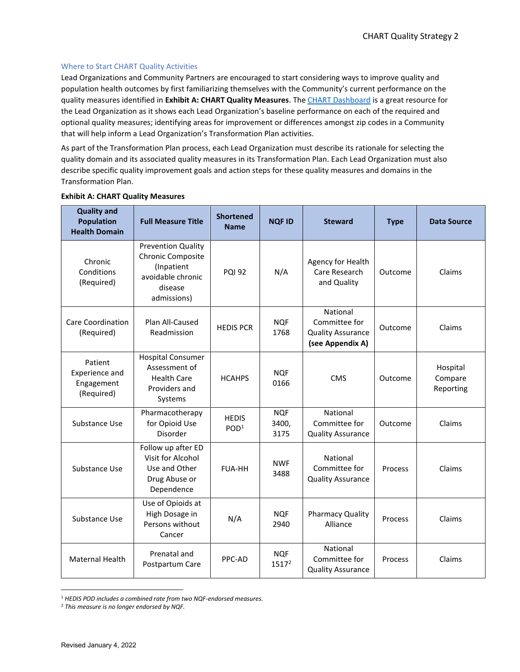## Where to Start CHART Quality Activities

Lead Organizations and Community Partners are encouraged to start considering ways to improve quality and population health outcomes by first familiarizing themselves with the Community's current performance on the quality measures identified in **Exhibit A: CHART Quality Measures**. Th[e CHART Dashboard](https://bival.cms.gov/) is a great resource for the Lead Organization as it shows each Lead Organization's baseline performance on each of the required and optional quality measures; identifying areas for improvement or differences amongst zip codes in a Community that will help inform a Lead Organization's Transformation Plan activities.

As part of the Transformation Plan process, each Lead Organization must describe its rationale for selecting the quality domain and its associated quality measures in its Transformation Plan. Each Lead Organization must also describe specific quality improvement goals and action steps for these quality measures and domains in the Transformation Plan.

| <b>Quality and</b><br><b>Population</b><br><b>Health Domain</b> | <b>Full Measure Title</b>                                                                                   | <b>Shortened</b><br><b>Name</b>  | <b>NQF ID</b>               | <b>Steward</b>                                                            | <b>Type</b> | <b>Data Source</b>               |
|-----------------------------------------------------------------|-------------------------------------------------------------------------------------------------------------|----------------------------------|-----------------------------|---------------------------------------------------------------------------|-------------|----------------------------------|
| Chronic<br>Conditions<br>(Required)                             | <b>Prevention Quality</b><br>Chronic Composite<br>(Inpatient<br>avoidable chronic<br>disease<br>admissions) | <b>POI 92</b>                    | N/A                         | Agency for Health<br>Care Research<br>and Quality                         | Outcome     | Claims                           |
| <b>Care Coordination</b><br>(Required)                          | Plan All-Caused<br>Readmission                                                                              | <b>HEDIS PCR</b>                 | <b>NQF</b><br>1768          | National<br>Committee for<br><b>Quality Assurance</b><br>(see Appendix A) | Outcome     | Claims                           |
| Patient<br>Experience and<br>Engagement<br>(Required)           | <b>Hospital Consumer</b><br>Assessment of<br><b>Health Care</b><br>Providers and<br>Systems                 | <b>HCAHPS</b>                    | <b>NQF</b><br>0166          | <b>CMS</b>                                                                | Outcome     | Hospital<br>Compare<br>Reporting |
| Substance Use                                                   | Pharmacotherapy<br>for Opioid Use<br>Disorder                                                               | <b>HEDIS</b><br>POD <sup>1</sup> | <b>NQF</b><br>3400,<br>3175 | National<br>Committee for<br><b>Quality Assurance</b>                     | Outcome     | Claims                           |
| Substance Use                                                   | Follow up after ED<br>Visit for Alcohol<br>Use and Other<br>Drug Abuse or<br>Dependence                     | <b>FUA-HH</b>                    | <b>NWF</b><br>3488          | National<br>Committee for<br><b>Quality Assurance</b>                     | Process     | Claims                           |
| Substance Use                                                   | Use of Opioids at<br>High Dosage in<br>Persons without<br>Cancer                                            | N/A                              | <b>NOF</b><br>2940          | <b>Pharmacy Quality</b><br>Alliance                                       | Process     | Claims                           |
| Maternal Health                                                 | Prenatal and<br>Postpartum Care                                                                             | PPC-AD                           | <b>NOF</b><br>$1517^2$      | National<br>Committee for<br><b>Quality Assurance</b>                     | Process     | Claims                           |

#### **Exhibit A: CHART Quality Measures**

<sup>1</sup> *HEDIS POD includes a combined rate from two NQF-endorsed measures.*

<sup>2</sup> *This measure is no longer endorsed by NQF.*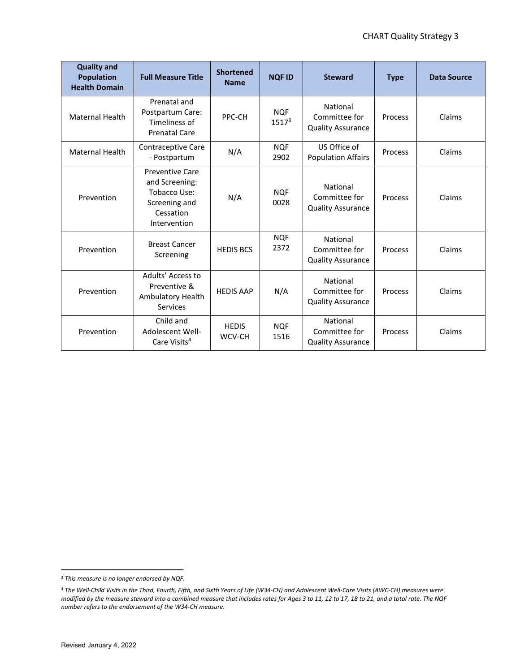| <b>Quality and</b><br><b>Population</b><br><b>Health Domain</b> | <b>Full Measure Title</b>                                                                              | <b>Shortened</b><br><b>Name</b> | <b>NQFID</b>                    | <b>Steward</b>                                        | <b>Type</b> | <b>Data Source</b> |
|-----------------------------------------------------------------|--------------------------------------------------------------------------------------------------------|---------------------------------|---------------------------------|-------------------------------------------------------|-------------|--------------------|
| <b>Maternal Health</b>                                          | Prenatal and<br>Postpartum Care:<br>Timeliness of<br><b>Prenatal Care</b>                              | PPC-CH                          | <b>NOF</b><br>1517 <sup>3</sup> | National<br>Committee for<br><b>Quality Assurance</b> | Process     | Claims             |
| <b>Maternal Health</b>                                          | Contraceptive Care<br>- Postpartum                                                                     | N/A                             | <b>NOF</b><br>2902              | US Office of<br><b>Population Affairs</b>             | Process     | Claims             |
| Prevention                                                      | <b>Preventive Care</b><br>and Screening:<br>Tobacco Use:<br>Screening and<br>Cessation<br>Intervention | N/A                             | <b>NOF</b><br>0028              | National<br>Committee for<br><b>Quality Assurance</b> | Process     | Claims             |
| Prevention                                                      | <b>Breast Cancer</b><br>Screening                                                                      | <b>HEDIS BCS</b>                | <b>NQF</b><br>2372              | National<br>Committee for<br><b>Quality Assurance</b> | Process     | Claims             |
| Prevention                                                      | Adults' Access to<br>Preventive &<br>Ambulatory Health<br><b>Services</b>                              | <b>HEDIS AAP</b>                | N/A                             | National<br>Committee for<br><b>Quality Assurance</b> | Process     | Claims             |
| Prevention                                                      | Child and<br>Adolescent Well-<br>Care Visits <sup>4</sup>                                              | <b>HEDIS</b><br>WCV-CH          | <b>NOF</b><br>1516              | National<br>Committee for<br><b>Quality Assurance</b> | Process     | Claims             |

<sup>3</sup> *This measure is no longer endorsed by NQF.*

<sup>4</sup> *The Well-Child Visits in the Third, Fourth, Fifth, and Sixth Years of Life (W34-CH) and Adolescent Well-Care Visits (AWC-CH) measures were modified by the measure steward into a combined measure that includes rates for Ages 3 to 11, 12 to 17, 18 to 21, and a total rate. The NQF number refers to the endorsement of the W34-CH measure.*